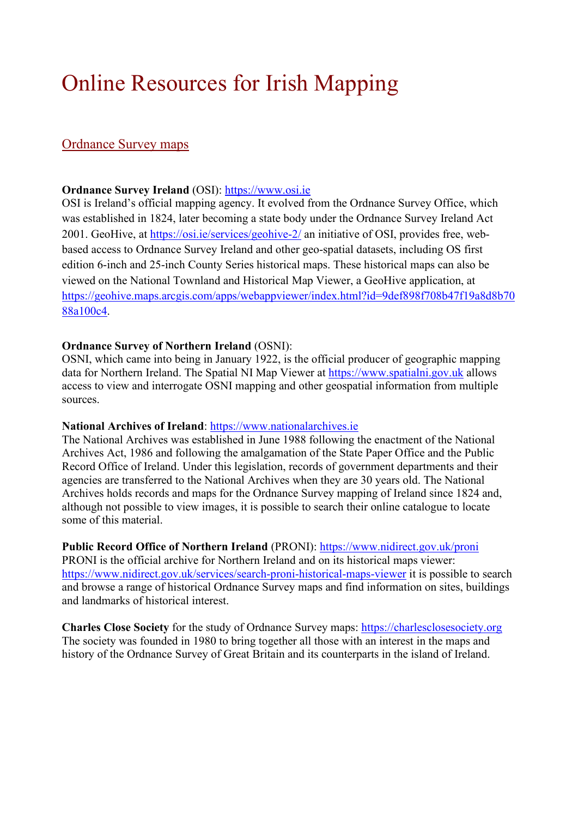# Online Resources for Irish Mapping

# Ordnance Survey maps

## **Ordnance Survey Ireland** (OSI): [https://www.osi.ie](https://www.osi.ie/)

OSI is Ireland's official mapping agency. It evolved from the Ordnance Survey Office, which was established in 1824, later becoming a state body under the Ordnance Survey Ireland Act 2001. GeoHive, at<https://osi.ie/services/geohive-2/> an initiative of OSI, provides free, webbased access to Ordnance Survey Ireland and other geo-spatial datasets, including OS first edition 6-inch and 25-inch County Series historical maps. These historical maps can also be viewed on the National Townland and Historical Map Viewer, a GeoHive application, at [https://geohive.maps.arcgis.com/apps/webappviewer/index.html?id=9def898f708b47f19a8d8b70](https://geohive.maps.arcgis.com/apps/webappviewer/index.html?id=9def898f708b47f19a8d8b7088a100c4) [88a100c4.](https://geohive.maps.arcgis.com/apps/webappviewer/index.html?id=9def898f708b47f19a8d8b7088a100c4)

#### **Ordnance Survey of Northern Ireland** (OSNI):

OSNI, which came into being in January 1922, is the official producer of geographic mapping data for Northern Ireland. The Spatial NI Map Viewer at [https://www.spatialni.gov.uk](https://www.spatialni.gov.uk/) allows access to view and interrogate OSNI mapping and other geospatial information from multiple sources.

#### **National Archives of Ireland**: [https://www.nationalarchives.ie](https://www.nationalarchives.ie/)

The National Archives was established in June 1988 following the enactment of the National Archives Act, 1986 and following the amalgamation of the State Paper Office and the Public Record Office of Ireland. Under this legislation, records of government departments and their agencies are transferred to the National Archives when they are 30 years old. The National Archives holds records and maps for the Ordnance Survey mapping of Ireland since 1824 and, although not possible to view images, it is possible to search their online catalogue to locate some of this material.

**Public Record Office of Northern Ireland** (PRONI):<https://www.nidirect.gov.uk/proni> PRONI is the official archive for Northern Ireland and on its historical maps viewer:

<https://www.nidirect.gov.uk/services/search-proni-historical-maps-viewer> it is possible to search and browse a range of historical Ordnance Survey maps and find information on sites, buildings and landmarks of historical interest.

**Charles Close Society** for the study of Ordnance Survey maps: [https://charlesclosesociety.org](https://charlesclosesociety.org/) The society was founded in 1980 to bring together all those with an interest in the maps and history of the Ordnance Survey of Great Britain and its counterparts in the island of Ireland.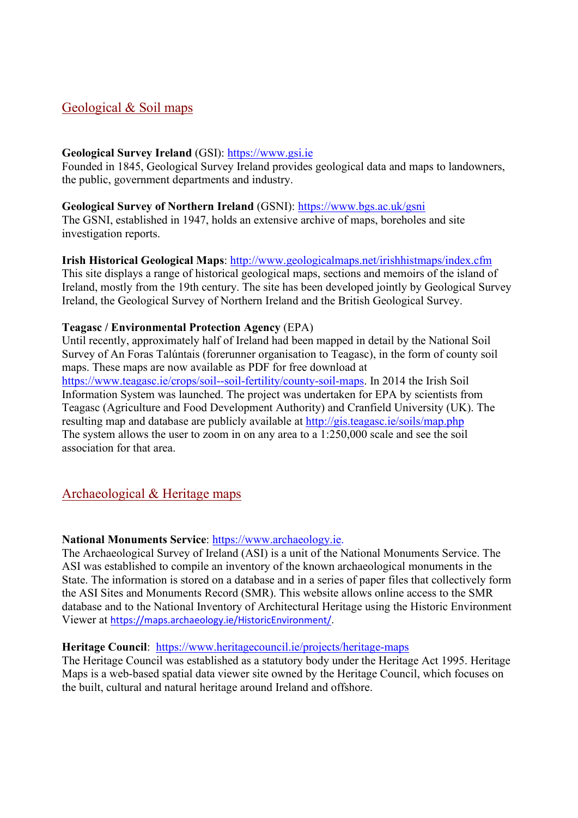# Geological & Soil maps

## **Geological Survey Ireland** (GSI): [https://www.gsi.ie](https://www.gsi.ie/)

Founded in 1845, Geological Survey Ireland provides geological data and maps to landowners, the public, government departments and industry.

#### **Geological Survey of Northern Ireland** (GSNI):<https://www.bgs.ac.uk/gsni>

The GSNI, established in 1947, holds an extensive archive of maps, boreholes and site investigation reports.

## **Irish Historical Geological Maps**:<http://www.geologicalmaps.net/irishhistmaps/index.cfm>

This site displays a range of historical geological maps, sections and memoirs of the island of Ireland, mostly from the 19th century. The site has been developed jointly by Geological Survey Ireland, the Geological Survey of Northern Ireland and the British Geological Survey.

### **Teagasc / Environmental Protection Agency** (EPA)

Until recently, approximately half of Ireland had been mapped in detail by the National Soil Survey of An Foras Talúntais (forerunner organisation to Teagasc), in the form of county soil maps. These maps are now available as PDF for free download at [https://www.teagasc.ie/crops/soil--soil-fertility/county-soil-maps.](https://www.teagasc.ie/crops/soil--soil-fertility/county-soil-maps) In 2014 the Irish Soil Information System was launched. The project was undertaken for EPA by scientists from Teagasc (Agriculture and Food Development Authority) and Cranfield University (UK). The resulting map and database are publicly available at<http://gis.teagasc.ie/soils/map.php> The system allows the user to zoom in on any area to a 1:250,000 scale and see the soil association for that area.

## Archaeological & Heritage maps

#### **National Monuments Service**: [https://www.archaeology.ie.](https://www.archaeology.ie/)

The Archaeological Survey of Ireland (ASI) is a unit of the National Monuments Service. The ASI was established to compile an inventory of the known archaeological monuments in the State. The information is stored on a database and in a series of paper files that collectively form the ASI Sites and Monuments Record (SMR). This website allows online access to the SMR database and to the National Inventory of Architectural Heritage using the Historic Environment Viewer at [https://maps.archaeology.ie/HistoricEnvironment/.](https://maps.archaeology.ie/HistoricEnvironment/)

#### **Heritage Council**: <https://www.heritagecouncil.ie/projects/heritage-maps>

The Heritage Council was established as a statutory body under the Heritage Act 1995. Heritage Maps is a web-based spatial data viewer site owned by the Heritage Council, which focuses on the built, cultural and natural heritage around Ireland and offshore.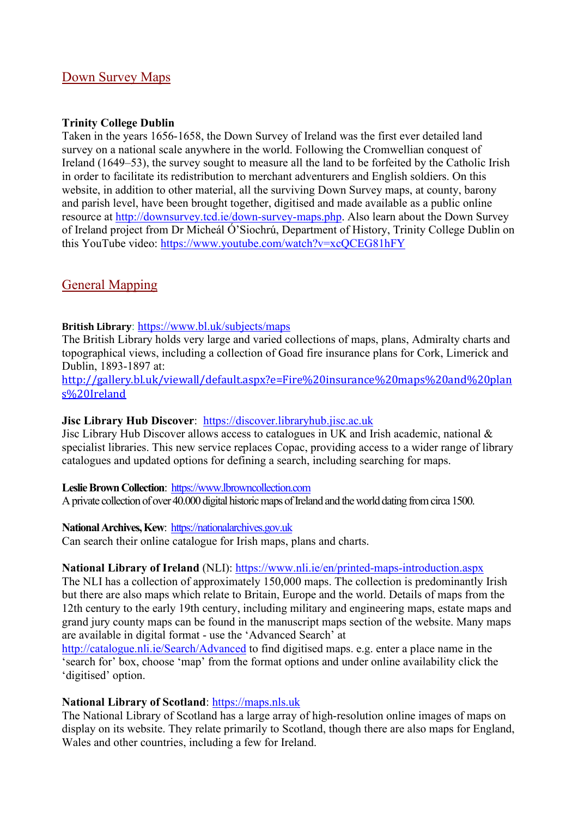## Down Survey Maps

## **Trinity College Dublin**

Taken in the years 1656-1658, the Down Survey of Ireland was the first ever detailed land survey on a national scale anywhere in the world. Following the Cromwellian conquest of Ireland (1649–53), the survey sought to measure all the land to be forfeited by the Catholic Irish in order to facilitate its redistribution to merchant adventurers and English soldiers. On this website, in addition to other material, all the surviving Down Survey maps, at county, barony and parish level, have been brought together, digitised and made available as a public online resource at [http://downsurvey.tcd.ie/down-survey-maps.php.](http://downsurvey.tcd.ie/down-survey-maps.php) Also learn about the Down Survey of Ireland project from Dr Micheál Ó'Siochrú, Department of History, Trinity College Dublin on this YouTube video: https://www.youtube.com/watch?v=xcOCEG81hFY

# General Mapping

### **British Library**:<https://www.bl.uk/subjects/maps>

The British Library holds very large and varied collections of maps, plans, Admiralty charts and topographical views, including a collection of Goad fire insurance plans for Cork, Limerick and Dublin, 1893-1897 at:

[http://gallery.bl.uk/viewall/default.aspx?e=Fire%20insurance%20maps%20and%20plan](http://gallery.bl.uk/viewall/default.aspx?e=Fire%20insurance%20maps%20and%20plans%20Ireland) [s%20Ireland](http://gallery.bl.uk/viewall/default.aspx?e=Fire%20insurance%20maps%20and%20plans%20Ireland)

#### **Jisc Library Hub Discover**: [https://discover.libraryhub.jisc.ac.uk](https://discover.libraryhub.jisc.ac.uk/)

Jisc Library Hub Discover allows access to catalogues in UK and Irish academic, national & specialist libraries. This new service replaces Copac, providing access to a wider range of library catalogues and updated options for defining a search, including searching for maps.

#### **LeslieBrownCollection**: [https://www.lbrowncollection.com](https://www.lbrowncollection.com/)

A private collection of over 40.000 digital historic maps of Ireland and the world dating from circa 1500.

#### National Archives, Kew: [https://nationalarchives.gov.uk](https://nationalarchives.gov.uk/)

Can search their online catalogue for Irish maps, plans and charts.

#### **National Library of Ireland** (NLI): <https://www.nli.ie/en/printed-maps-introduction.aspx>

The NLI has a collection of approximately 150,000 maps. The collection is predominantly Irish but there are also maps which relate to Britain, Europe and the world. Details of maps from the 12th century to the early 19th century, including military and engineering maps, estate maps and grand jury county maps can be found in the manuscript maps section of the website. Many maps are available in digital format - use the 'Advanced Search' at

<http://catalogue.nli.ie/Search/Advanced> to find digitised maps. e.g. enter a place name in the 'search for' box, choose 'map' from the format options and under online availability click the 'digitised' option.

## **National Library of Scotland**: [https://maps.nls.uk](https://maps.nls.uk/)

The National Library of Scotland has a large array of high-resolution online images of maps on display on its website. They relate primarily to Scotland, though there are also maps for England, Wales and other countries, including a few for Ireland.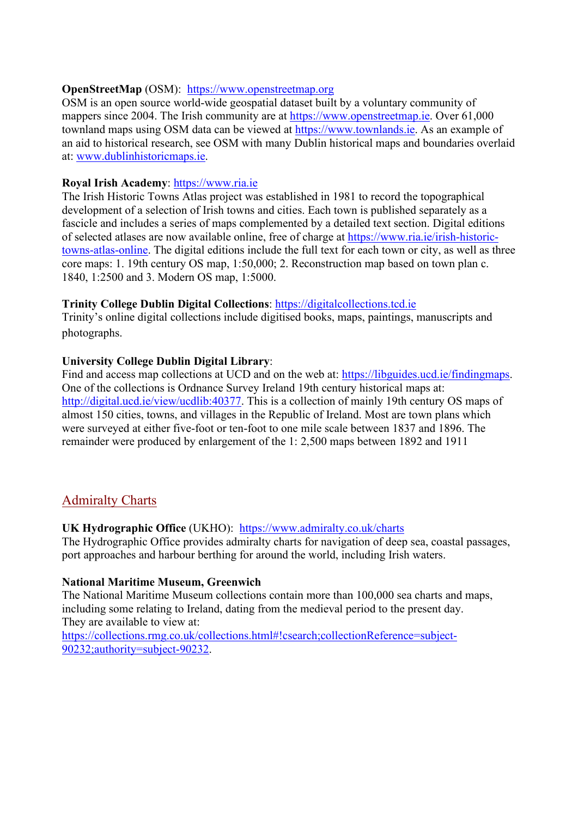## **OpenStreetMap** (OSM): [https://www.openstreetmap.org](https://www.openstreetmap.org/)

OSM is an open source world-wide geospatial dataset built by a voluntary community of mappers since 2004. The Irish community are at [https://www.openstreetmap.ie.](https://www.openstreetmap.ie/) Over 61,000 townland maps using OSM data can be viewed at [https://www.townlands.ie.](https://www.townlands.ie/) As an example of an aid to historical research, see OSM with many Dublin historical maps and boundaries overlaid at: [www.dublinhistoricmaps.ie.](http://www.dublinhistoricmaps.ie/)

## **Royal Irish Academy**: [https://www.ria.ie](https://www.ria.ie/)

The Irish Historic Towns Atlas project was established in 1981 to record the topographical development of a selection of Irish towns and cities. Each town is published separately as a fascicle and includes a series of maps complemented by a detailed text section. Digital editions of selected atlases are now available online, free of charge at [https://www.ria.ie/irish-historic](https://www.ria.ie/irish-historic-towns-atlas-online)[towns-atlas-online.](https://www.ria.ie/irish-historic-towns-atlas-online) The digital editions include the full text for each town or city, as well as three core maps: 1. 19th century OS map, 1:50,000; 2. Reconstruction map based on town plan c. 1840, 1:2500 and 3. Modern OS map, 1:5000.

## **Trinity College Dublin Digital Collections**: [https://digitalcollections.tcd.ie](https://digitalcollections.tcd.ie/)

Trinity's online digital collections include digitised books, maps, paintings, manuscripts and photographs.

## **University College Dublin Digital Library**:

Find and access map collections at UCD and on the web at: [https://libguides.ucd.ie/findingmaps.](https://libguides.ucd.ie/findingmaps) One of the collections is Ordnance Survey Ireland 19th century historical maps at: [http://digital.ucd.ie/view/ucdlib:40377.](http://digital.ucd.ie/view/ucdlib:40377) This is a collection of mainly 19th century OS maps of almost 150 cities, towns, and villages in the Republic of Ireland. Most are town plans which were surveyed at either five-foot or ten-foot to one mile scale between 1837 and 1896. The remainder were produced by enlargement of the 1: 2,500 maps between 1892 and 1911

## Admiralty Charts

## **UK Hydrographic Office** (UKHO): <https://www.admiralty.co.uk/charts>

The Hydrographic Office provides admiralty charts for navigation of deep sea, coastal passages, port approaches and harbour berthing for around the world, including Irish waters.

## **National Maritime Museum, Greenwich**

The National Maritime Museum collections contain more than 100,000 sea charts and maps, including some relating to Ireland, dating from the medieval period to the present day. They are available to view at:

[https://collections.rmg.co.uk/collections.html#!csearch;collectionReference=subject-](https://collections.rmg.co.uk/collections.html#!csearch;collectionReference=subject-90232;authority=subject-90232)[90232;authority=subject-90232.](https://collections.rmg.co.uk/collections.html#!csearch;collectionReference=subject-90232;authority=subject-90232)